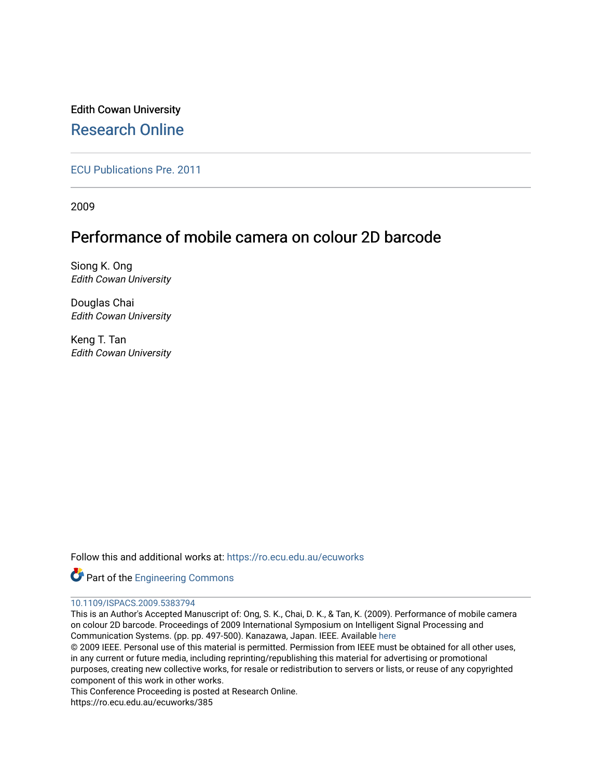Edith Cowan University [Research Online](https://ro.ecu.edu.au/) 

[ECU Publications Pre. 2011](https://ro.ecu.edu.au/ecuworks)

2009

# Performance of mobile camera on colour 2D barcode

Siong K. Ong Edith Cowan University

Douglas Chai Edith Cowan University

Keng T. Tan Edith Cowan University

Follow this and additional works at: [https://ro.ecu.edu.au/ecuworks](https://ro.ecu.edu.au/ecuworks?utm_source=ro.ecu.edu.au%2Fecuworks%2F385&utm_medium=PDF&utm_campaign=PDFCoverPages) 



# [10.1109/ISPACS.2009.5383794](http://dx.doi.org/10.1109/ISPACS.2009.5383794)

This is an Author's Accepted Manuscript of: Ong, S. K., Chai, D. K., & Tan, K. (2009). Performance of mobile camera on colour 2D barcode. Proceedings of 2009 International Symposium on Intelligent Signal Processing and Communication Systems. (pp. pp. 497-500). Kanazawa, Japan. IEEE. Available [here](http://dx.doi.org/10.1109/ISPACS.2009.5383794)  © 2009 IEEE. Personal use of this material is permitted. Permission from IEEE must be obtained for all other uses, in any current or future media, including reprinting/republishing this material for advertising or promotional

purposes, creating new collective works, for resale or redistribution to servers or lists, or reuse of any copyrighted component of this work in other works.

This Conference Proceeding is posted at Research Online.

https://ro.ecu.edu.au/ecuworks/385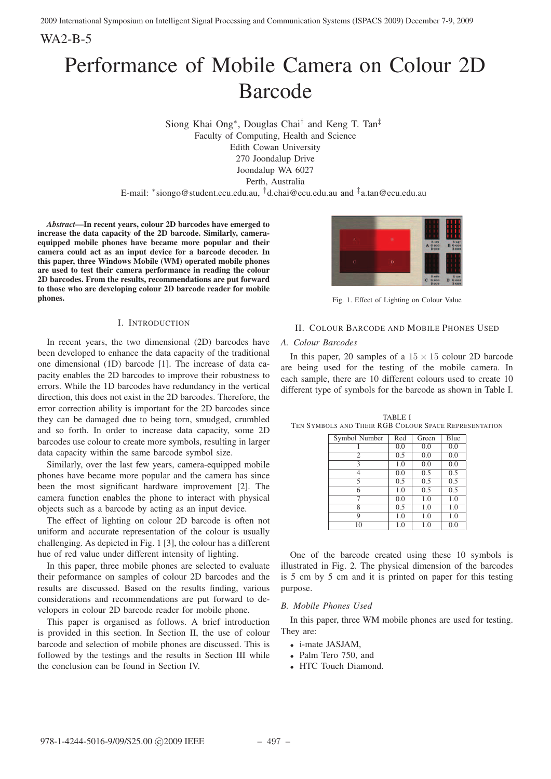WA2-B-5

# Performance of Mobile Camera on Colour 2D Barcode

Siong Khai Ong∗, Douglas Chai† and Keng T. Tan‡ Faculty of Computing, Health and Science Edith Cowan University 270 Joondalup Drive Joondalup WA 6027 Perth, Australia

E-mail: \*siongo@student.ecu.edu.au, <sup>†</sup>d.chai@ecu.edu.au and  $\frac{1}{4}$ a.tan@ecu.edu.au

*Abstract*—In recent years, colour 2D barcodes have emerged to increase the data capacity of the 2D barcode. Similarly, cameraequipped mobile phones have became more popular and their camera could act as an input device for a barcode decoder. In this paper, three Windows Mobile (WM) operated mobile phones are used to test their camera performance in reading the colour 2D barcodes. From the results, recommendations are put forward to those who are developing colour 2D barcode reader for mobile phones.

## I. INTRODUCTION

In recent years, the two dimensional (2D) barcodes have been developed to enhance the data capacity of the traditional one dimensional (1D) barcode [1]. The increase of data capacity enables the 2D barcodes to improve their robustness to errors. While the 1D barcodes have redundancy in the vertical direction, this does not exist in the 2D barcodes. Therefore, the error correction ability is important for the 2D barcodes since they can be damaged due to being torn, smudged, crumbled and so forth. In order to increase data capacity, some 2D barcodes use colour to create more symbols, resulting in larger data capacity within the same barcode symbol size.

Similarly, over the last few years, camera-equipped mobile phones have became more popular and the camera has since been the most significant hardware improvement [2]. The camera function enables the phone to interact with physical objects such as a barcode by acting as an input device.

The effect of lighting on colour 2D barcode is often not uniform and accurate representation of the colour is usually challenging. As depicted in Fig. 1 [3], the colour has a different hue of red value under different intensity of lighting.

In this paper, three mobile phones are selected to evaluate their peformance on samples of colour 2D barcodes and the results are discussed. Based on the results finding, various considerations and recommendations are put forward to developers in colour 2D barcode reader for mobile phone.

This paper is organised as follows. A brief introduction is provided in this section. In Section II, the use of colour barcode and selection of mobile phones are discussed. This is followed by the testings and the results in Section III while the conclusion can be found in Section IV.



Fig. 1. Effect of Lighting on Colour Value

# II. COLOUR BARCODE AND MOBILE PHONES USED

### *A. Colour Barcodes*

In this paper, 20 samples of a  $15 \times 15$  colour 2D barcode are being used for the testing of the mobile camera. In each sample, there are 10 different colours used to create 10 different type of symbols for the barcode as shown in Table I.

| Symbol Number  | Red | Green | Blue    |
|----------------|-----|-------|---------|
|                | 0.0 | 0.0   | 0.0     |
| $\mathfrak{2}$ | 0.5 | 0.0   | 0.0     |
| 3              | 1.0 | 0.0   | 0.0     |
| 4              | 0.0 | 0.5   | 0.5     |
| 5              | 0.5 | 0.5   | 0.5     |
| 6              | 1.0 | 0.5   | 0.5     |
| 7              | 0.0 | 1.0   | 1.0     |
| 8              | 0.5 | 1.0   | 1.0     |
| Q              | 1.0 | 1.0   | 1.0     |
| 10             | 1.0 | 1.0   | $0.0\,$ |

TABLE I TEN SYMBOLS AND THEIR RGB COLOUR SPACE REPRESENTATION

One of the barcode created using these 10 symbols is illustrated in Fig. 2. The physical dimension of the barcodes is 5 cm by 5 cm and it is printed on paper for this testing purpose.

# *B. Mobile Phones Used*

In this paper, three WM mobile phones are used for testing. They are:

- *i-mate JASJAM*.
- Palm Tero 750, and
- HTC Touch Diamond.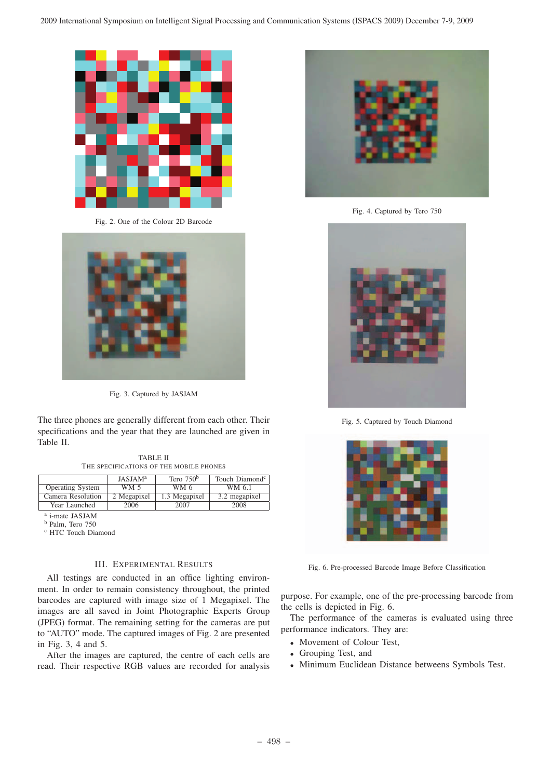

Fig. 2. One of the Colour 2D Barcode



Fig. 3. Captured by JASJAM

The three phones are generally different from each other. Their specifications and the year that they are launched are given in Table II.

TABLE II THE SPECIFICATIONS OF THE MOBILE PHONES

|                         | <b>JASJAM</b> <sup>a</sup> | Tero $750b$   | Touch Diamond <sup>c</sup> |
|-------------------------|----------------------------|---------------|----------------------------|
| <b>Operating System</b> | WM 5                       | WM 6          | WM 6.1                     |
| Camera Resolution       | 2 Megapixel                | 1.3 Megapixel | 3.2 megapixel              |
| Year Launched           | 2006                       | 2007          | 2008                       |

<sup>a</sup> i-mate JASJAM

<sup>b</sup> Palm, Tero 750

<sup>c</sup> HTC Touch Diamond

# III. EXPERIMENTAL RESULTS

All testings are conducted in an office lighting environment. In order to remain consistency throughout, the printed barcodes are captured with image size of 1 Megapixel. The images are all saved in Joint Photographic Experts Group (JPEG) format. The remaining setting for the cameras are put to "AUTO" mode. The captured images of Fig. 2 are presented in Fig. 3, 4 and 5.

After the images are captured, the centre of each cells are read. Their respective RGB values are recorded for analysis



Fig. 4. Captured by Tero 750



Fig. 5. Captured by Touch Diamond



Fig. 6. Pre-processed Barcode Image Before Classification

purpose. For example, one of the pre-processing barcode from the cells is depicted in Fig. 6.

The performance of the cameras is evaluated using three performance indicators. They are:

- Movement of Colour Test,
- Grouping Test, and
- Minimum Euclidean Distance betweens Symbols Test.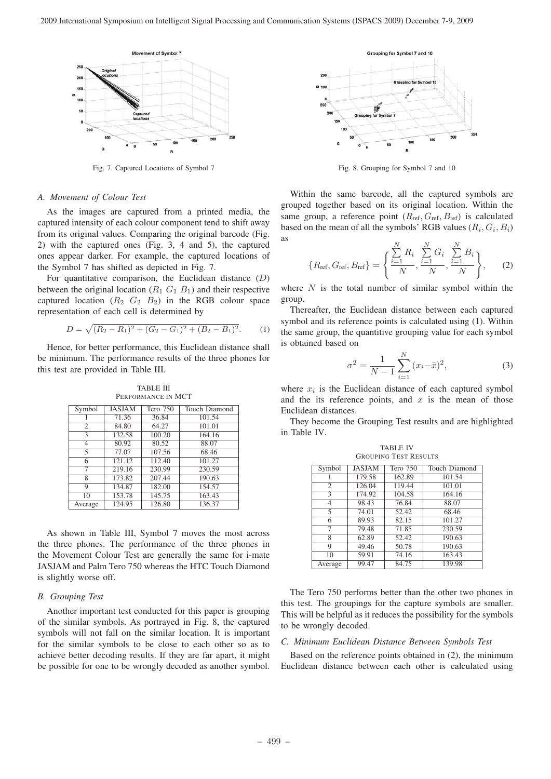

Fig. 7. Captured Locations of Symbol 7

#### *A. Movement of Colour Test*

As the images are captured from a printed media, the captured intensity of each colour component tend to shift away from its original values. Comparing the original barcode (Fig. 2) with the captured ones (Fig. 3, 4 and 5), the captured ones appear darker. For example, the captured locations of the Symbol 7 has shifted as depicted in Fig. 7.

For quantitative comparison, the Euclidean distance  $(D)$ between the original location  $(R_1 G_1 B_1)$  and their respective captured location  $(R_2 \ G_2 \ B_2)$  in the RGB colour space representation of each cell is determined by

$$
D = \sqrt{(R_2 - R_1)^2 + (G_2 - G_1)^2 + (B_2 - B_1)^2}.
$$
 (1)

Hence, for better performance, this Euclidean distance shall be minimum. The performance results of the three phones for this test are provided in Table III.

TABLE III PERFORMANCE IN MCT

| Symbol                   | <b>JASJAM</b> | Tero 750 | <b>Touch Diamond</b> |
|--------------------------|---------------|----------|----------------------|
|                          | 71.36         | 36.84    | 101.54               |
| 2                        | 84.80         | 64.27    | 101.01               |
| $\overline{\mathcal{E}}$ | 132.58        | 100.20   | 164.16               |
| 4                        | 80.92         | 80.52    | 88.07                |
| 5                        | 77.07         | 107.56   | 68.46                |
| 6                        | 121.12        | 112.40   | 101.27               |
| 7                        | 219.16        | 230.99   | 230.59               |
| 8                        | 173.82        | 207.44   | 190.63               |
| 9                        | 134.87        | 182.00   | 154.57               |
| 10                       | 153.78        | 145.75   | 163.43               |
| Average                  | 124.95        | 126.80   | 136.37               |

As shown in Table III, Symbol 7 moves the most across the three phones. The performance of the three phones in the Movement Colour Test are generally the same for i-mate JASJAM and Palm Tero 750 whereas the HTC Touch Diamond is slightly worse off.

#### *B. Grouping Test*

Another important test conducted for this paper is grouping of the similar symbols. As portrayed in Fig. 8, the captured symbols will not fall on the similar location. It is important for the similar symbols to be close to each other so as to achieve better decoding results. If they are far apart, it might be possible for one to be wrongly decoded as another symbol.



Fig. 8. Grouping for Symbol 7 and 10

Within the same barcode, all the captured symbols are grouped together based on its original location. Within the same group, a reference point  $(R_{\text{ref}}, G_{\text{ref}}, B_{\text{ref}})$  is calculated based on the mean of all the symbols' RGB values  $(R_i, G_i, B_i)$ as

$$
\{R_{\text{ref}}, G_{\text{ref}}, B_{\text{ref}}\} = \left\{ \frac{\sum_{i=1}^{N} R_i}{N}, \frac{\sum_{i=1}^{N} G_i}{N}, \frac{\sum_{i=1}^{N} B_i}{N} \right\},\tag{2}
$$

where  $N$  is the total number of similar symbol within the group.

Thereafter, the Euclidean distance between each captured symbol and its reference points is calculated using (1). Within the same group, the quantitive grouping value for each symbol is obtained based on

$$
\sigma^2 = \frac{1}{N-1} \sum_{i=1}^{N} (x_i - \bar{x})^2,
$$
\n(3)

where  $x_i$  is the Euclidean distance of each captured symbol and the its reference points, and  $\bar{x}$  is the mean of those Euclidean distances.

They become the Grouping Test results and are highlighted in Table IV.

| <b>TABLE IV</b>              |
|------------------------------|
| <b>GROUPING TEST RESULTS</b> |

| Symbol         | <b>JASJAM</b> | Tero 750 | <b>Touch Diamond</b> |
|----------------|---------------|----------|----------------------|
|                | 179.58        | 162.89   | 101.54               |
| 2              | 126.04        | 119.44   | 101.01               |
| 3              | 174.92        | 104.58   | 164.16               |
| $\overline{4}$ | 98.43         | 76.84    | 88.07                |
| 5              | 74.01         | 52.42    | 68.46                |
| 6              | 89.93         | 82.15    | 101.27               |
| 7              | 79.48         | 71.85    | 230.59               |
| 8              | 62.89         | 52.42    | 190.63               |
| 9              | 49.46         | 50.78    | 190.63               |
| 10             | 59.91         | 74.16    | 163.43               |
| Average        | 99.47         | 84.75    | 139.98               |

The Tero 750 performs better than the other two phones in this test. The groupings for the capture symbols are smaller. This will be helpful as it reduces the possibility for the symbols to be wrongly decoded.

#### *C. Minimum Euclidean Distance Between Symbols Test*

Based on the reference points obtained in (2), the minimum Euclidean distance between each other is calculated using